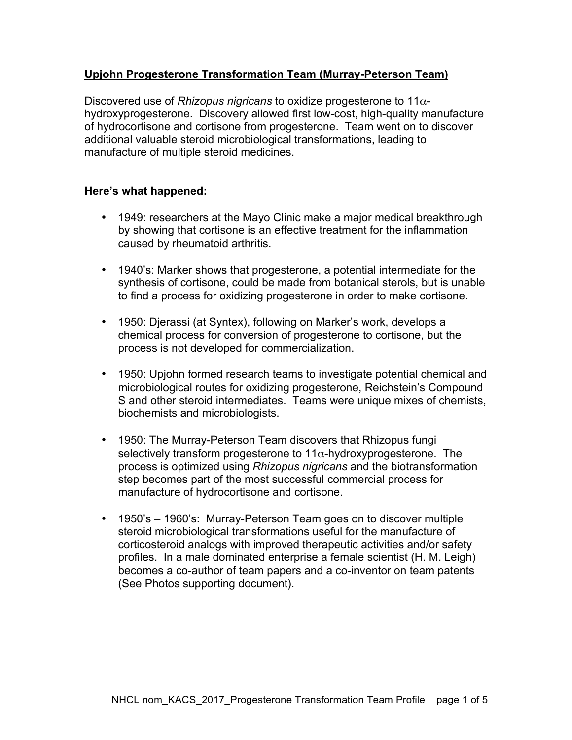# **Upjohn Progesterone Transformation Team (Murray-Peterson Team)**

Discovered use of *Rhizopus nigricans* to oxidize progesterone to 11αhydroxyprogesterone. Discovery allowed first low-cost, high-quality manufacture of hydrocortisone and cortisone from progesterone. Team went on to discover additional valuable steroid microbiological transformations, leading to manufacture of multiple steroid medicines.

#### **Here's what happened:**

- 1949: researchers at the Mayo Clinic make a major medical breakthrough by showing that cortisone is an effective treatment for the inflammation caused by rheumatoid arthritis.
- 1940's: Marker shows that progesterone, a potential intermediate for the synthesis of cortisone, could be made from botanical sterols, but is unable to find a process for oxidizing progesterone in order to make cortisone.
- 1950: Djerassi (at Syntex), following on Marker's work, develops a chemical process for conversion of progesterone to cortisone, but the process is not developed for commercialization.
- 1950: Upjohn formed research teams to investigate potential chemical and microbiological routes for oxidizing progesterone, Reichstein's Compound S and other steroid intermediates. Teams were unique mixes of chemists, biochemists and microbiologists.
- 1950: The Murray-Peterson Team discovers that Rhizopus fungi selectively transform progesterone to  $11\alpha$ -hydroxyprogesterone. The process is optimized using *Rhizopus nigricans* and the biotransformation step becomes part of the most successful commercial process for manufacture of hydrocortisone and cortisone.
- 1950's 1960's: Murray-Peterson Team goes on to discover multiple steroid microbiological transformations useful for the manufacture of corticosteroid analogs with improved therapeutic activities and/or safety profiles. In a male dominated enterprise a female scientist (H. M. Leigh) becomes a co-author of team papers and a co-inventor on team patents (See Photos supporting document).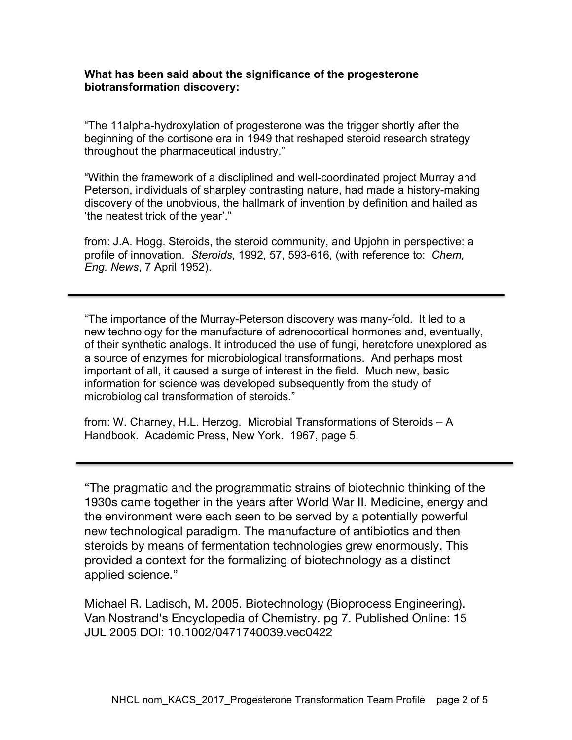### **What has been said about the significance of the progesterone biotransformation discovery:**

"The 11alpha-hydroxylation of progesterone was the trigger shortly after the beginning of the cortisone era in 1949 that reshaped steroid research strategy throughout the pharmaceutical industry."

"Within the framework of a discliplined and well-coordinated project Murray and Peterson, individuals of sharpley contrasting nature, had made a history-making discovery of the unobvious, the hallmark of invention by definition and hailed as 'the neatest trick of the year'."

from: J.A. Hogg. Steroids, the steroid community, and Upjohn in perspective: a profile of innovation. *Steroids*, 1992, 57, 593-616, (with reference to: *Chem, Eng. News*, 7 April 1952).

"The importance of the Murray-Peterson discovery was many-fold. It led to a new technology for the manufacture of adrenocortical hormones and, eventually, of their synthetic analogs. It introduced the use of fungi, heretofore unexplored as a source of enzymes for microbiological transformations. And perhaps most important of all, it caused a surge of interest in the field. Much new, basic information for science was developed subsequently from the study of microbiological transformation of steroids."

from: W. Charney, H.L. Herzog. Microbial Transformations of Steroids – A Handbook. Academic Press, New York. 1967, page 5.

"The pragmatic and the programmatic strains of biotechnic thinking of the 1930s came together in the years after World War II. Medicine, energy and the environment were each seen to be served by a potentially powerful new technological paradigm. The manufacture of antibiotics and then steroids by means of fermentation technologies grew enormously. This provided a context for the formalizing of biotechnology as a distinct applied science."

Michael R. Ladisch, M. 2005. Biotechnology (Bioprocess Engineering). Van Nostrand's Encyclopedia of Chemistry. pg 7. Published Online: 15 JUL 2005 DOI: 10.1002/0471740039.vec0422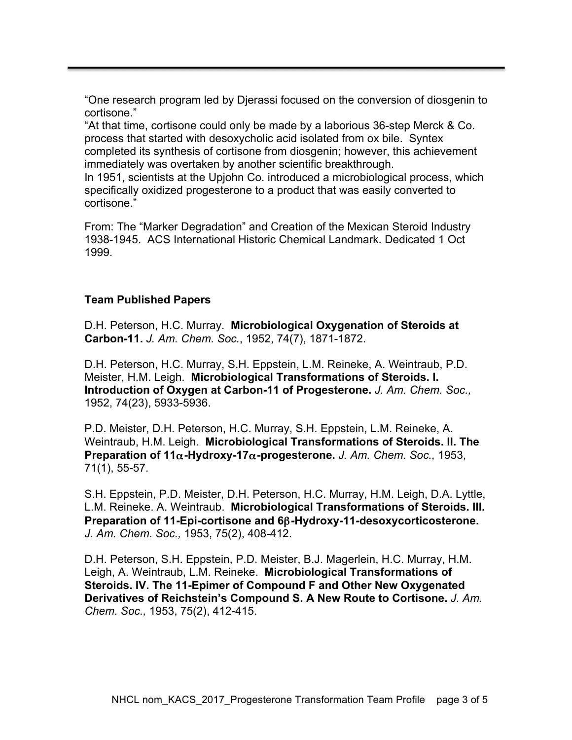"One research program led by Djerassi focused on the conversion of diosgenin to cortisone."

"At that time, cortisone could only be made by a laborious 36-step Merck & Co. process that started with desoxycholic acid isolated from ox bile. Syntex completed its synthesis of cortisone from diosgenin; however, this achievement immediately was overtaken by another scientific breakthrough.

In 1951, scientists at the Upjohn Co. introduced a microbiological process, which specifically oxidized progesterone to a product that was easily converted to cortisone."

From: The "Marker Degradation" and Creation of the Mexican Steroid Industry 1938-1945. ACS International Historic Chemical Landmark. Dedicated 1 Oct 1999.

## **Team Published Papers**

D.H. Peterson, H.C. Murray. **Microbiological Oxygenation of Steroids at Carbon-11.** *J. Am. Chem. Soc.*, 1952, 74(7), 1871-1872.

D.H. Peterson, H.C. Murray, S.H. Eppstein, L.M. Reineke, A. Weintraub, P.D. Meister, H.M. Leigh. **Microbiological Transformations of Steroids. I. Introduction of Oxygen at Carbon-11 of Progesterone.** *J. Am. Chem. Soc.,* 1952, 74(23), 5933-5936.

P.D. Meister, D.H. Peterson, H.C. Murray, S.H. Eppstein, L.M. Reineke, A. Weintraub, H.M. Leigh. **Microbiological Transformations of Steroids. II. The Preparation of 11**α**-Hydroxy-17**α**-progesterone.** *J. Am. Chem. Soc.,* 1953, 71(1), 55-57.

S.H. Eppstein, P.D. Meister, D.H. Peterson, H.C. Murray, H.M. Leigh, D.A. Lyttle, L.M. Reineke. A. Weintraub. **Microbiological Transformations of Steroids. III. Preparation of 11-Epi-cortisone and 6**β**-Hydroxy-11-desoxycorticosterone.** *J. Am. Chem. Soc.,* 1953, 75(2), 408-412.

D.H. Peterson, S.H. Eppstein, P.D. Meister, B.J. Magerlein, H.C. Murray, H.M. Leigh, A. Weintraub, L.M. Reineke. **Microbiological Transformations of Steroids. IV. The 11-Epimer of Compound F and Other New Oxygenated Derivatives of Reichstein's Compound S. A New Route to Cortisone.** *J. Am. Chem. Soc.,* 1953, 75(2), 412-415.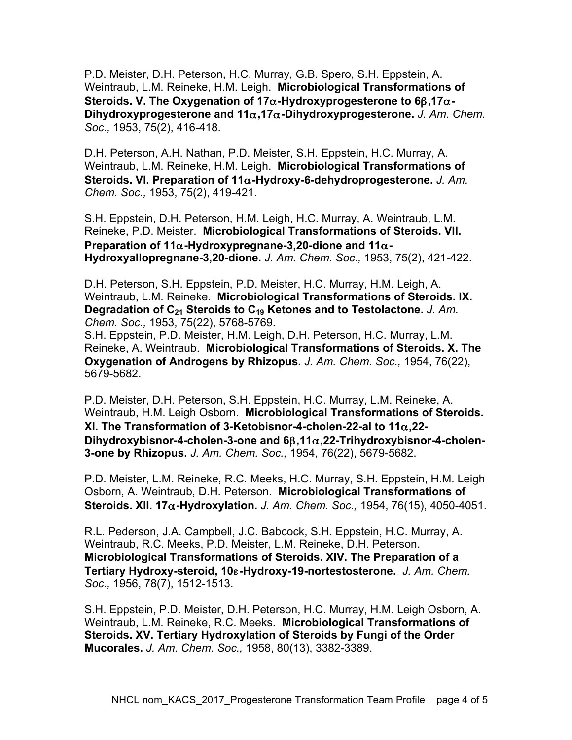P.D. Meister, D.H. Peterson, H.C. Murray, G.B. Spero, S.H. Eppstein, A. Weintraub, L.M. Reineke, H.M. Leigh. **Microbiological Transformations of Steroids. V. The Oxygenation of 17**α**-Hydroxyprogesterone to 6**β**,17**α**-Dihydroxyprogesterone and 11**α**,17**α**-Dihydroxyprogesterone.** *J. Am. Chem. Soc.,* 1953, 75(2), 416-418.

D.H. Peterson, A.H. Nathan, P.D. Meister, S.H. Eppstein, H.C. Murray, A. Weintraub, L.M. Reineke, H.M. Leigh. **Microbiological Transformations of Steroids. VI. Preparation of 11**α**-Hydroxy-6-dehydroprogesterone.** *J. Am. Chem. Soc.,* 1953, 75(2), 419-421.

S.H. Eppstein, D.H. Peterson, H.M. Leigh, H.C. Murray, A. Weintraub, L.M. Reineke, P.D. Meister. **Microbiological Transformations of Steroids. VII. Preparation of 11**α**-Hydroxypregnane-3,20-dione and 11**α**-Hydroxyallopregnane-3,20-dione.** *J. Am. Chem. Soc.,* 1953, 75(2), 421-422.

D.H. Peterson, S.H. Eppstein, P.D. Meister, H.C. Murray, H.M. Leigh, A. Weintraub, L.M. Reineke. **Microbiological Transformations of Steroids. IX. Degradation of C21 Steroids to C19 Ketones and to Testolactone.** *J. Am. Chem. Soc.,* 1953, 75(22), 5768-5769.

S.H. Eppstein, P.D. Meister, H.M. Leigh, D.H. Peterson, H.C. Murray, L.M. Reineke, A. Weintraub. **Microbiological Transformations of Steroids. X. The Oxygenation of Androgens by Rhizopus.** *J. Am. Chem. Soc.,* 1954, 76(22), 5679-5682.

P.D. Meister, D.H. Peterson, S.H. Eppstein, H.C. Murray, L.M. Reineke, A. Weintraub, H.M. Leigh Osborn. **Microbiological Transformations of Steroids. XI. The Transformation of 3-Ketobisnor-4-cholen-22-al to 11**α**,22- Dihydroxybisnor-4-cholen-3-one and 6**β**,11**α**,22-Trihydroxybisnor-4-cholen-3-one by Rhizopus.** *J. Am. Chem. Soc.,* 1954, 76(22), 5679-5682.

P.D. Meister, L.M. Reineke, R.C. Meeks, H.C. Murray, S.H. Eppstein, H.M. Leigh Osborn, A. Weintraub, D.H. Peterson. **Microbiological Transformations of Steroids. XII. 17**α**-Hydroxylation.** *J. Am. Chem. Soc.,* 1954, 76(15), 4050-4051.

R.L. Pederson, J.A. Campbell, J.C. Babcock, S.H. Eppstein, H.C. Murray, A. Weintraub, R.C. Meeks, P.D. Meister, L.M. Reineke, D.H. Peterson. **Microbiological Transformations of Steroids. XIV. The Preparation of a Tertiary Hydroxy-steroid, 10**ε**-Hydroxy-19-nortestosterone.** *J. Am. Chem. Soc.,* 1956, 78(7), 1512-1513.

S.H. Eppstein, P.D. Meister, D.H. Peterson, H.C. Murray, H.M. Leigh Osborn, A. Weintraub, L.M. Reineke, R.C. Meeks. **Microbiological Transformations of Steroids. XV. Tertiary Hydroxylation of Steroids by Fungi of the Order Mucorales.** *J. Am. Chem. Soc.,* 1958, 80(13), 3382-3389.